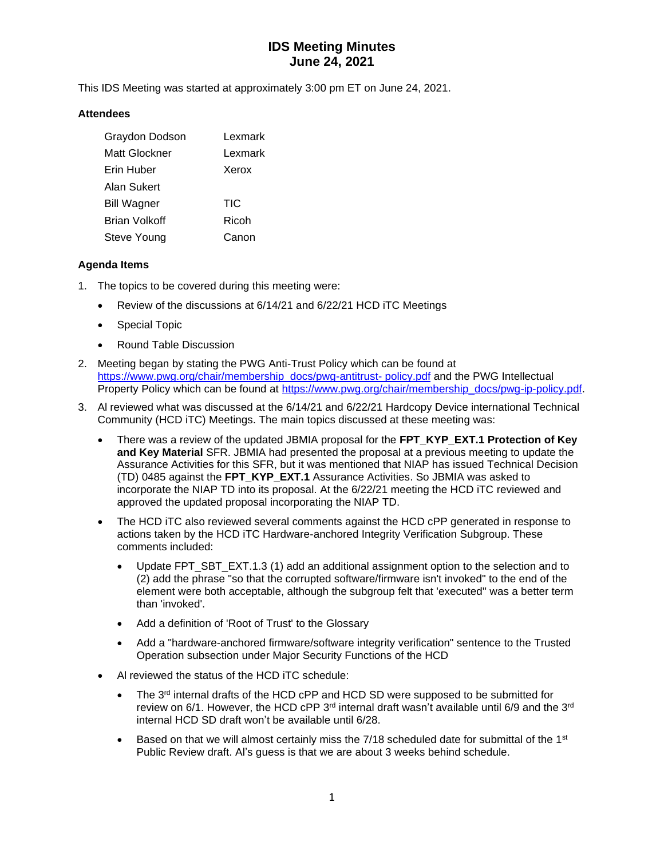# **IDS Meeting Minutes June 24, 2021**

This IDS Meeting was started at approximately 3:00 pm ET on June 24, 2021.

#### **Attendees**

| Graydon Dodson     | Lexmark |
|--------------------|---------|
| Matt Glockner      | Lexmark |
| Erin Huber         | Xerox   |
| Alan Sukert        |         |
| <b>Bill Wagner</b> | TIC     |
| Brian Volkoff      | Ricoh   |
| Steve Young        | Canon   |

### **Agenda Items**

- 1. The topics to be covered during this meeting were:
	- Review of the discussions at 6/14/21 and 6/22/21 HCD iTC Meetings
	- Special Topic
	- Round Table Discussion
- 2. Meeting began by stating the PWG Anti-Trust Policy which can be found at [https://www.pwg.org/chair/membership\\_docs/pwg-antitrust-](https://www.pwg.org/chair/membership_docs/pwg-antitrust-%20policy.pdf) policy.pdf and the PWG Intellectual Property Policy which can be found at [https://www.pwg.org/chair/membership\\_docs/pwg-ip-policy.pdf.](https://www.pwg.org/chair/membership_docs/pwg-ip-policy.pdf)
- 3. Al reviewed what was discussed at the 6/14/21 and 6/22/21 Hardcopy Device international Technical Community (HCD iTC) Meetings. The main topics discussed at these meeting was:
	- There was a review of the updated JBMIA proposal for the **FPT\_KYP\_EXT.1 Protection of Key and Key Material** SFR. JBMIA had presented the proposal at a previous meeting to update the Assurance Activities for this SFR, but it was mentioned that NIAP has issued Technical Decision (TD) 0485 against the **FPT\_KYP\_EXT.1** Assurance Activities. So JBMIA was asked to incorporate the NIAP TD into its proposal. At the 6/22/21 meeting the HCD iTC reviewed and approved the updated proposal incorporating the NIAP TD.
	- The HCD iTC also reviewed several comments against the HCD cPP generated in response to actions taken by the HCD iTC Hardware-anchored Integrity Verification Subgroup. These comments included:
		- Update FPT\_SBT\_EXT.1.3 (1) add an additional assignment option to the selection and to (2) add the phrase "so that the corrupted software/firmware isn't invoked" to the end of the element were both acceptable, although the subgroup felt that 'executed'' was a better term than 'invoked'.
		- Add a definition of 'Root of Trust' to the Glossary
		- Add a "hardware-anchored firmware/software integrity verification" sentence to the Trusted Operation subsection under Major Security Functions of the HCD
	- Al reviewed the status of the HCD iTC schedule:
		- The  $3<sup>rd</sup>$  internal drafts of the HCD cPP and HCD SD were supposed to be submitted for review on 6/1. However, the HCD cPP  $3<sup>rd</sup>$  internal draft wasn't available until 6/9 and the  $3<sup>rd</sup>$ internal HCD SD draft won't be available until 6/28.
		- Based on that we will almost certainly miss the  $7/18$  scheduled date for submittal of the 1<sup>st</sup> Public Review draft. Al's guess is that we are about 3 weeks behind schedule.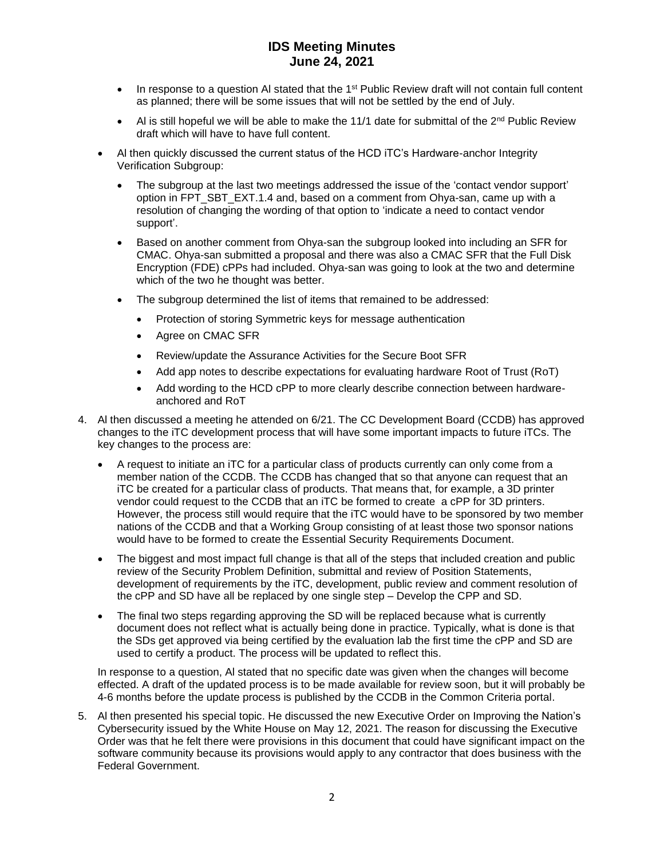## **IDS Meeting Minutes June 24, 2021**

- $\bullet$  In response to a question AI stated that the 1<sup>st</sup> Public Review draft will not contain full content as planned; there will be some issues that will not be settled by the end of July.
- Al is still hopeful we will be able to make the 11/1 date for submittal of the  $2^{nd}$  Public Review draft which will have to have full content.
- Al then quickly discussed the current status of the HCD iTC's Hardware-anchor Integrity Verification Subgroup:
	- The subgroup at the last two meetings addressed the issue of the 'contact vendor support' option in FPT\_SBT\_EXT.1.4 and, based on a comment from Ohya-san, came up with a resolution of changing the wording of that option to 'indicate a need to contact vendor support'.
	- Based on another comment from Ohya-san the subgroup looked into including an SFR for CMAC. Ohya-san submitted a proposal and there was also a CMAC SFR that the Full Disk Encryption (FDE) cPPs had included. Ohya-san was going to look at the two and determine which of the two he thought was better.
	- The subgroup determined the list of items that remained to be addressed:
		- Protection of storing Symmetric keys for message authentication
		- Agree on CMAC SFR
		- Review/update the Assurance Activities for the Secure Boot SFR
		- Add app notes to describe expectations for evaluating hardware Root of Trust (RoT)
		- Add wording to the HCD cPP to more clearly describe connection between hardwareanchored and RoT
- 4. Al then discussed a meeting he attended on 6/21. The CC Development Board (CCDB) has approved changes to the iTC development process that will have some important impacts to future iTCs. The key changes to the process are:
	- A request to initiate an iTC for a particular class of products currently can only come from a member nation of the CCDB. The CCDB has changed that so that anyone can request that an iTC be created for a particular class of products. That means that, for example, a 3D printer vendor could request to the CCDB that an iTC be formed to create a cPP for 3D printers. However, the process still would require that the iTC would have to be sponsored by two member nations of the CCDB and that a Working Group consisting of at least those two sponsor nations would have to be formed to create the Essential Security Requirements Document.
	- The biggest and most impact full change is that all of the steps that included creation and public review of the Security Problem Definition, submittal and review of Position Statements, development of requirements by the iTC, development, public review and comment resolution of the cPP and SD have all be replaced by one single step – Develop the CPP and SD.
	- The final two steps regarding approving the SD will be replaced because what is currently document does not reflect what is actually being done in practice. Typically, what is done is that the SDs get approved via being certified by the evaluation lab the first time the cPP and SD are used to certify a product. The process will be updated to reflect this.

In response to a question, Al stated that no specific date was given when the changes will become effected. A draft of the updated process is to be made available for review soon, but it will probably be 4-6 months before the update process is published by the CCDB in the Common Criteria portal.

5. Al then presented his special topic. He discussed the new Executive Order on Improving the Nation's Cybersecurity issued by the White House on May 12, 2021. The reason for discussing the Executive Order was that he felt there were provisions in this document that could have significant impact on the software community because its provisions would apply to any contractor that does business with the Federal Government.